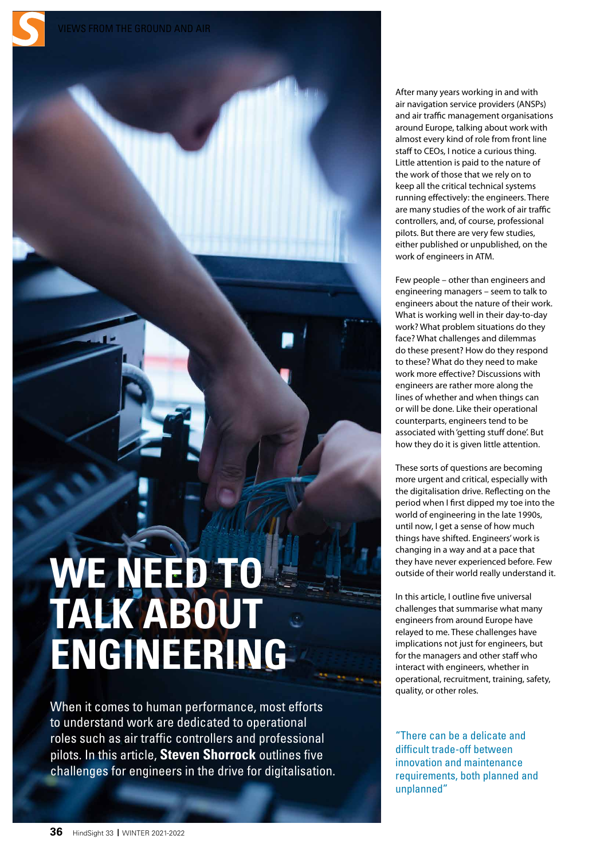# **WE NEED TO TALK ABOUT ENGINEERING**

When it comes to human performance, most efforts to understand work are dedicated to operational roles such as air traffic controllers and professional pilots. In this article, **Steven Shorrock** outlines five challenges for engineers in the drive for digitalisation. After many years working in and with air navigation service providers (ANSPs) and air traffic management organisations around Europe, talking about work with almost every kind of role from front line staff to CEOs, I notice a curious thing. Little attention is paid to the nature of the work of those that we rely on to keep all the critical technical systems running effectively: the engineers. There are many studies of the work of air traffic controllers, and, of course, professional pilots. But there are very few studies, either published or unpublished, on the work of engineers in ATM.

Few people – other than engineers and engineering managers – seem to talk to engineers about the nature of their work. What is working well in their day-to-day work? What problem situations do they face? What challenges and dilemmas do these present? How do they respond to these? What do they need to make work more effective? Discussions with engineers are rather more along the lines of whether and when things can or will be done. Like their operational counterparts, engineers tend to be associated with 'getting stuff done'. But how they do it is given little attention.

These sorts of questions are becoming more urgent and critical, especially with the digitalisation drive. Reflecting on the period when I first dipped my toe into the world of engineering in the late 1990s, until now, I get a sense of how much things have shifted. Engineers' work is changing in a way and at a pace that they have never experienced before. Few outside of their world really understand it.

In this article, I outline five universal challenges that summarise what many engineers from around Europe have relayed to me. These challenges have implications not just for engineers, but for the managers and other staff who interact with engineers, whether in operational, recruitment, training, safety, quality, or other roles.

"There can be a delicate and difficult trade-off between innovation and maintenance requirements, both planned and unplanned"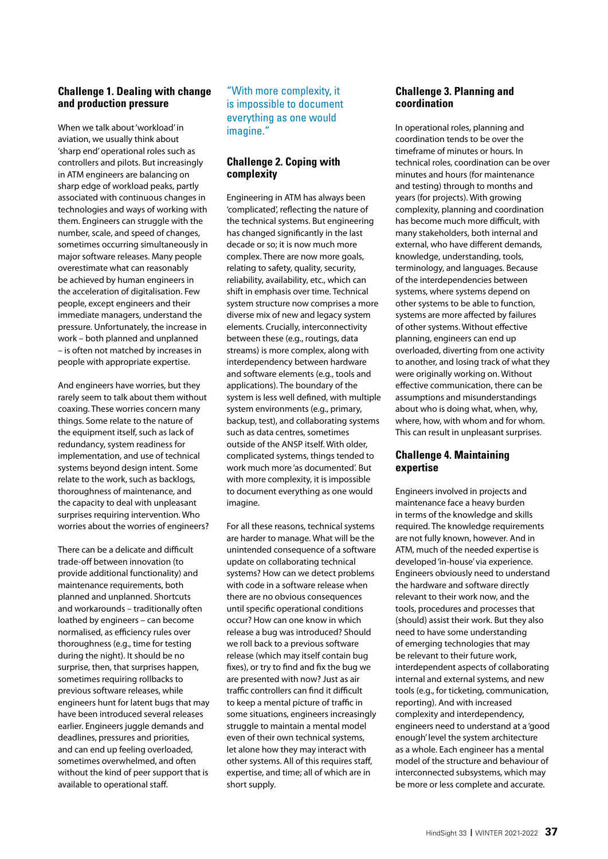## **Challenge 1. Dealing with change and production pressure**

When we talk about 'workload' in aviation, we usually think about 'sharp end' operational roles such as controllers and pilots. But increasingly in ATM engineers are balancing on sharp edge of workload peaks, partly associated with continuous changes in technologies and ways of working with them. Engineers can struggle with the number, scale, and speed of changes, sometimes occurring simultaneously in major software releases. Many people overestimate what can reasonably be achieved by human engineers in the acceleration of digitalisation. Few people, except engineers and their immediate managers, understand the pressure. Unfortunately, the increase in work – both planned and unplanned – is often not matched by increases in people with appropriate expertise.

And engineers have worries, but they rarely seem to talk about them without coaxing. These worries concern many things. Some relate to the nature of the equipment itself, such as lack of redundancy, system readiness for implementation, and use of technical systems beyond design intent. Some relate to the work, such as backlogs, thoroughness of maintenance, and the capacity to deal with unpleasant surprises requiring intervention. Who worries about the worries of engineers?

There can be a delicate and difficult trade-off between innovation (to provide additional functionality) and maintenance requirements, both planned and unplanned. Shortcuts and workarounds – traditionally often loathed by engineers – can become normalised, as efficiency rules over thoroughness (e.g., time for testing during the night). It should be no surprise, then, that surprises happen, sometimes requiring rollbacks to previous software releases, while engineers hunt for latent bugs that may have been introduced several releases earlier. Engineers juggle demands and deadlines, pressures and priorities, and can end up feeling overloaded, sometimes overwhelmed, and often without the kind of peer support that is available to operational staff.

"With more complexity, it is impossible to document everything as one would imagine."

## **Challenge 2. Coping with complexity**

Engineering in ATM has always been 'complicated', reflecting the nature of the technical systems. But engineering has changed significantly in the last decade or so; it is now much more complex. There are now more goals, relating to safety, quality, security, reliability, availability, etc., which can shift in emphasis over time. Technical system structure now comprises a more diverse mix of new and legacy system elements. Crucially, interconnectivity between these (e.g., routings, data streams) is more complex, along with interdependency between hardware and software elements (e.g., tools and applications). The boundary of the system is less well defined, with multiple system environments (e.g., primary, backup, test), and collaborating systems such as data centres, sometimes outside of the ANSP itself. With older, complicated systems, things tended to work much more 'as documented'. But with more complexity, it is impossible to document everything as one would imagine.

For all these reasons, technical systems are harder to manage. What will be the unintended consequence of a software update on collaborating technical systems? How can we detect problems with code in a software release when there are no obvious consequences until specific operational conditions occur? How can one know in which release a bug was introduced? Should we roll back to a previous software release (which may itself contain bug fixes), or try to find and fix the bug we are presented with now? Just as air traffic controllers can find it difficult to keep a mental picture of traffic in some situations, engineers increasingly struggle to maintain a mental model even of their own technical systems, let alone how they may interact with other systems. All of this requires staff, expertise, and time; all of which are in short supply.

#### **Challenge 3. Planning and coordination**

In operational roles, planning and coordination tends to be over the timeframe of minutes or hours. In technical roles, coordination can be over minutes and hours (for maintenance and testing) through to months and years (for projects). With growing complexity, planning and coordination has become much more difficult, with many stakeholders, both internal and external, who have different demands, knowledge, understanding, tools, terminology, and languages. Because of the interdependencies between systems, where systems depend on other systems to be able to function, systems are more affected by failures of other systems. Without effective planning, engineers can end up overloaded, diverting from one activity to another, and losing track of what they were originally working on. Without effective communication, there can be assumptions and misunderstandings about who is doing what, when, why, where, how, with whom and for whom. This can result in unpleasant surprises.

### **Challenge 4. Maintaining expertise**

Engineers involved in projects and maintenance face a heavy burden in terms of the knowledge and skills required. The knowledge requirements are not fully known, however. And in ATM, much of the needed expertise is developed 'in-house' via experience. Engineers obviously need to understand the hardware and software directly relevant to their work now, and the tools, procedures and processes that (should) assist their work. But they also need to have some understanding of emerging technologies that may be relevant to their future work, interdependent aspects of collaborating internal and external systems, and new tools (e.g., for ticketing, communication, reporting). And with increased complexity and interdependency, engineers need to understand at a 'good enough' level the system architecture as a whole. Each engineer has a mental model of the structure and behaviour of interconnected subsystems, which may be more or less complete and accurate.